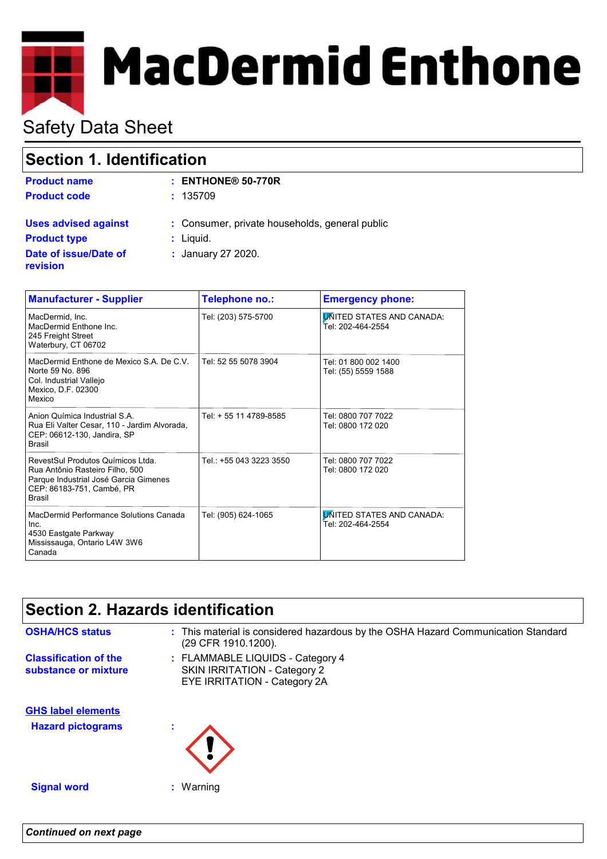# **MacDermid Enthone**

# Safety Data Sheet

## **Section 1. Identification**

| <b>Product name</b>                      | $:$ ENTHONE® 50-770R                           |
|------------------------------------------|------------------------------------------------|
| <b>Product code</b>                      | : 135709                                       |
| <b>Uses advised against</b>              | : Consumer, private households, general public |
| <b>Product type</b>                      | : Liquid.                                      |
| Date of issue/Date of<br><b>revision</b> | : January 27 2020.                             |

| <b>Manufacturer - Supplier</b>                                                                                                                              | Telephone no.:          | <b>Emergency phone:</b>                               |
|-------------------------------------------------------------------------------------------------------------------------------------------------------------|-------------------------|-------------------------------------------------------|
| MacDermid. Inc.<br>MacDermid Enthone Inc.<br>245 Freight Street<br>Waterbury, CT 06702                                                                      | Tel: (203) 575-5700     | <b>UNITED STATES AND CANADA:</b><br>Tel: 202-464-2554 |
| MacDermid Enthone de Mexico S.A. De C.V.<br>Norte 59 No. 896<br>Col. Industrial Vallejo<br>Mexico, D.F. 02300<br>Mexico                                     | Tel: 52 55 5078 3904    | Tel: 01 800 002 1400<br>Tel: (55) 5559 1588           |
| Anion Química Industrial S.A.<br>Rua Eli Valter Cesar, 110 - Jardim Alvorada,<br>CEP: 06612-130, Jandira, SP<br><b>Brasil</b>                               | Tel: + 55 11 4789-8585  | Tel: 0800 707 7022<br>Tel: 0800 172 020               |
| RevestSul Produtos Químicos Ltda.<br>Rua Antônio Rasteiro Filho, 500<br>Parque Industrial José Garcia Gimenes<br>CEP: 86183-751, Cambé, PR<br><b>Brasil</b> | Tel.: +55 043 3223 3550 | Tel: 0800 707 7022<br>Tel: 0800 172 020               |
| MacDermid Performance Solutions Canada<br>Inc.<br>4530 Eastgate Parkway<br>Mississauga, Ontario L4W 3W6<br>Canada                                           | Tel: (905) 624-1065     | <b>UNITED STATES AND CANADA:</b><br>Tel: 202-464-2554 |

## **Section 2. Hazards identification**

FLAMMABLE LIQUIDS - Category 4 **:** SKIN IRRITATION - Category 2 EYE IRRITATION - Category 2A **Classification of the substance or mixture Signal word :** Warning **Hazard pictograms : GHS label elements OSHA/HCS status** : This material is considered hazardous by the OSHA Hazard Communication Standard (29 CFR 1910.1200).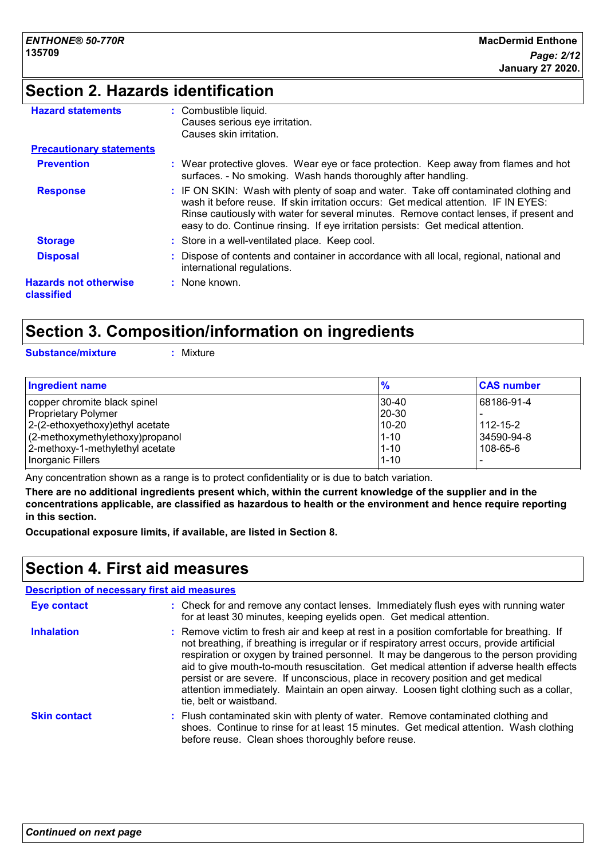# **Section 2. Hazards identification**

| <b>Hazard statements</b>                   | : Combustible liquid.<br>Causes serious eye irritation.<br>Causes skin irritation.                                                                                                                                                                                                                                                                        |
|--------------------------------------------|-----------------------------------------------------------------------------------------------------------------------------------------------------------------------------------------------------------------------------------------------------------------------------------------------------------------------------------------------------------|
| <b>Precautionary statements</b>            |                                                                                                                                                                                                                                                                                                                                                           |
| <b>Prevention</b>                          | : Wear protective gloves. Wear eye or face protection. Keep away from flames and hot<br>surfaces. - No smoking. Wash hands thoroughly after handling.                                                                                                                                                                                                     |
| <b>Response</b>                            | : IF ON SKIN: Wash with plenty of soap and water. Take off contaminated clothing and<br>wash it before reuse. If skin irritation occurs: Get medical attention. IF IN EYES:<br>Rinse cautiously with water for several minutes. Remove contact lenses, if present and<br>easy to do. Continue rinsing. If eye irritation persists: Get medical attention. |
| <b>Storage</b>                             | : Store in a well-ventilated place. Keep cool.                                                                                                                                                                                                                                                                                                            |
| <b>Disposal</b>                            | Dispose of contents and container in accordance with all local, regional, national and<br>international regulations.                                                                                                                                                                                                                                      |
| <b>Hazards not otherwise</b><br>classified | : None known.                                                                                                                                                                                                                                                                                                                                             |

## **Section 3. Composition/information on ingredients**

**Substance/mixture :** Mixture

| <b>Ingredient name</b>              | $\frac{9}{6}$ | <b>CAS number</b> |
|-------------------------------------|---------------|-------------------|
| copper chromite black spinel        | 30-40         | 68186-91-4        |
| <b>Proprietary Polymer</b>          | 20-30         |                   |
| $ 2-(2-ethoxyethoxy)ethyl$ acetate  | 10-20         | $112 - 15 - 2$    |
| $(2$ -methoxymethylethoxy) propanol | $1 - 10$      | 34590-94-8        |
| 2-methoxy-1-methylethyl acetate     | $1 - 10$      | 108-65-6          |
| Inorganic Fillers                   | $1 - 10$      |                   |

Any concentration shown as a range is to protect confidentiality or is due to batch variation.

**There are no additional ingredients present which, within the current knowledge of the supplier and in the concentrations applicable, are classified as hazardous to health or the environment and hence require reporting in this section.**

**Occupational exposure limits, if available, are listed in Section 8.**

## **Section 4. First aid measures**

|                     | <b>Description of necessary first aid measures</b>                                                                                                                                                                                                                                                                                                                                                                                                                                                                                                                                           |
|---------------------|----------------------------------------------------------------------------------------------------------------------------------------------------------------------------------------------------------------------------------------------------------------------------------------------------------------------------------------------------------------------------------------------------------------------------------------------------------------------------------------------------------------------------------------------------------------------------------------------|
| Eye contact         | : Check for and remove any contact lenses. Immediately flush eyes with running water<br>for at least 30 minutes, keeping eyelids open. Get medical attention.                                                                                                                                                                                                                                                                                                                                                                                                                                |
| <b>Inhalation</b>   | : Remove victim to fresh air and keep at rest in a position comfortable for breathing. If<br>not breathing, if breathing is irregular or if respiratory arrest occurs, provide artificial<br>respiration or oxygen by trained personnel. It may be dangerous to the person providing<br>aid to give mouth-to-mouth resuscitation. Get medical attention if adverse health effects<br>persist or are severe. If unconscious, place in recovery position and get medical<br>attention immediately. Maintain an open airway. Loosen tight clothing such as a collar,<br>tie, belt or waistband. |
| <b>Skin contact</b> | : Flush contaminated skin with plenty of water. Remove contaminated clothing and<br>shoes. Continue to rinse for at least 15 minutes. Get medical attention. Wash clothing<br>before reuse. Clean shoes thoroughly before reuse.                                                                                                                                                                                                                                                                                                                                                             |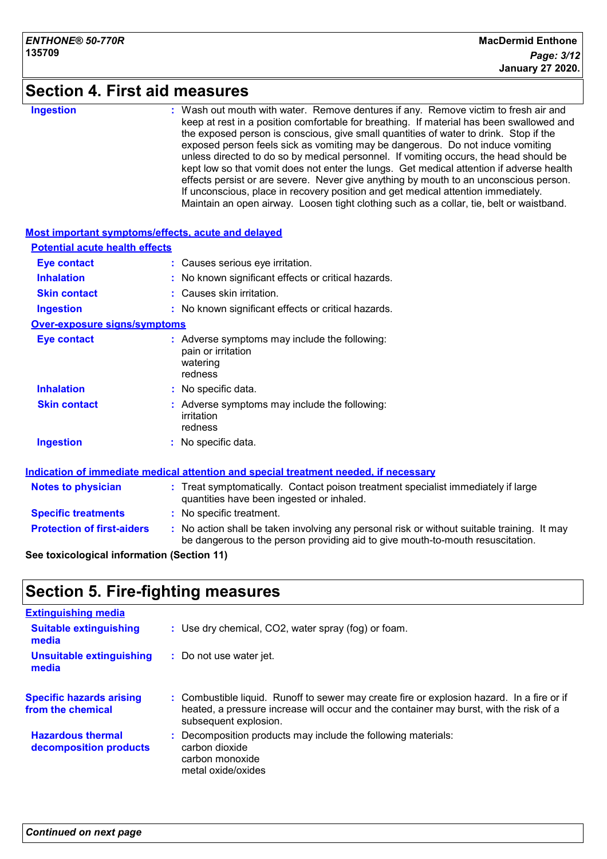### **Section 4. First aid measures**

**Ingestion :**

: Wash out mouth with water. Remove dentures if any. Remove victim to fresh air and keep at rest in a position comfortable for breathing. If material has been swallowed and the exposed person is conscious, give small quantities of water to drink. Stop if the exposed person feels sick as vomiting may be dangerous. Do not induce vomiting unless directed to do so by medical personnel. If vomiting occurs, the head should be kept low so that vomit does not enter the lungs. Get medical attention if adverse health effects persist or are severe. Never give anything by mouth to an unconscious person. If unconscious, place in recovery position and get medical attention immediately. Maintain an open airway. Loosen tight clothing such as a collar, tie, belt or waistband.

| Most important symptoms/effects, acute and delayed |                                                                                                                                                                             |  |
|----------------------------------------------------|-----------------------------------------------------------------------------------------------------------------------------------------------------------------------------|--|
| <b>Potential acute health effects</b>              |                                                                                                                                                                             |  |
| <b>Eye contact</b>                                 | : Causes serious eye irritation.                                                                                                                                            |  |
| <b>Inhalation</b>                                  | : No known significant effects or critical hazards.                                                                                                                         |  |
| <b>Skin contact</b>                                | : Causes skin irritation.                                                                                                                                                   |  |
| <b>Ingestion</b>                                   | : No known significant effects or critical hazards.                                                                                                                         |  |
| <b>Over-exposure signs/symptoms</b>                |                                                                                                                                                                             |  |
| <b>Eye contact</b>                                 | : Adverse symptoms may include the following:<br>pain or irritation<br>watering<br>redness                                                                                  |  |
| <b>Inhalation</b>                                  | : No specific data.                                                                                                                                                         |  |
| <b>Skin contact</b>                                | Adverse symptoms may include the following:<br>irritation<br>redness                                                                                                        |  |
| <b>Ingestion</b>                                   | : No specific data.                                                                                                                                                         |  |
|                                                    | Indication of immediate medical attention and special treatment needed, if necessary                                                                                        |  |
| <b>Notes to physician</b>                          | : Treat symptomatically. Contact poison treatment specialist immediately if large<br>quantities have been ingested or inhaled.                                              |  |
| <b>Specific treatments</b>                         | : No specific treatment.                                                                                                                                                    |  |
| <b>Protection of first-aiders</b>                  | No action shall be taken involving any personal risk or without suitable training. It may<br>be dangerous to the person providing aid to give mouth-to-mouth resuscitation. |  |

#### **See toxicological information (Section 11)**

## **Section 5. Fire-fighting measures**

| <b>Extinguishing media</b>                           |                                                                                                                                                                                                               |
|------------------------------------------------------|---------------------------------------------------------------------------------------------------------------------------------------------------------------------------------------------------------------|
| <b>Suitable extinguishing</b><br>media               | : Use dry chemical, CO2, water spray (fog) or foam.                                                                                                                                                           |
| <b>Unsuitable extinguishing</b><br>media             | : Do not use water jet.                                                                                                                                                                                       |
| <b>Specific hazards arising</b><br>from the chemical | : Combustible liquid. Runoff to sewer may create fire or explosion hazard. In a fire or if<br>heated, a pressure increase will occur and the container may burst, with the risk of a<br>subsequent explosion. |
| <b>Hazardous thermal</b><br>decomposition products   | : Decomposition products may include the following materials:<br>carbon dioxide<br>carbon monoxide<br>metal oxide/oxides                                                                                      |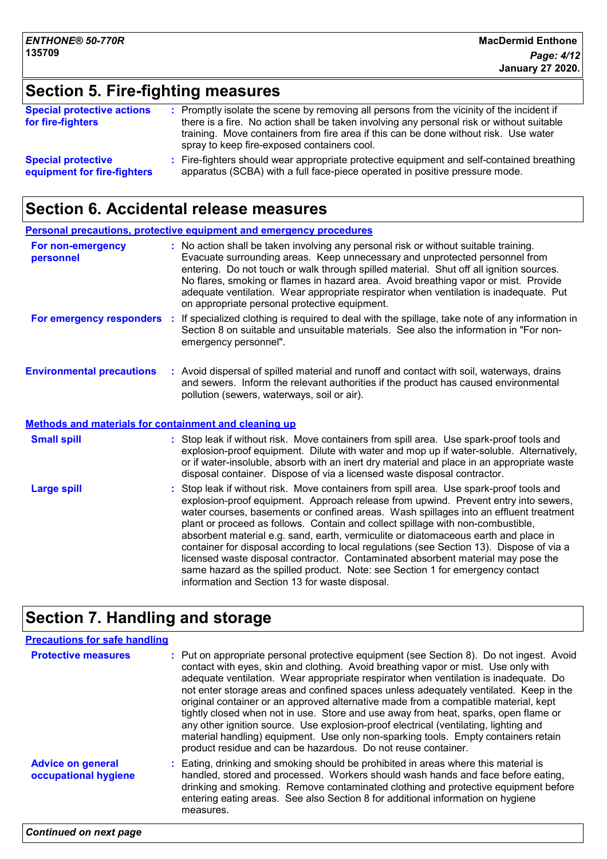# **Section 5. Fire-fighting measures**

| <b>Special protective actions</b><br>for fire-fighters | : Promptly isolate the scene by removing all persons from the vicinity of the incident if<br>there is a fire. No action shall be taken involving any personal risk or without suitable<br>training. Move containers from fire area if this can be done without risk. Use water<br>spray to keep fire-exposed containers cool. |
|--------------------------------------------------------|-------------------------------------------------------------------------------------------------------------------------------------------------------------------------------------------------------------------------------------------------------------------------------------------------------------------------------|
| <b>Special protective</b>                              | : Fire-fighters should wear appropriate protective equipment and self-contained breathing                                                                                                                                                                                                                                     |
| equipment for fire-fighters                            | apparatus (SCBA) with a full face-piece operated in positive pressure mode.                                                                                                                                                                                                                                                   |

## **Section 6. Accidental release measures**

|                                                       | <b>Personal precautions, protective equipment and emergency procedures</b>                                                                                                                                                                                                                                                                                                                                                                                                                                                                                                                                                                                                                                                                                         |
|-------------------------------------------------------|--------------------------------------------------------------------------------------------------------------------------------------------------------------------------------------------------------------------------------------------------------------------------------------------------------------------------------------------------------------------------------------------------------------------------------------------------------------------------------------------------------------------------------------------------------------------------------------------------------------------------------------------------------------------------------------------------------------------------------------------------------------------|
| For non-emergency<br>personnel                        | : No action shall be taken involving any personal risk or without suitable training.<br>Evacuate surrounding areas. Keep unnecessary and unprotected personnel from<br>entering. Do not touch or walk through spilled material. Shut off all ignition sources.<br>No flares, smoking or flames in hazard area. Avoid breathing vapor or mist. Provide<br>adequate ventilation. Wear appropriate respirator when ventilation is inadequate. Put<br>on appropriate personal protective equipment.                                                                                                                                                                                                                                                                    |
| For emergency responders                              | : If specialized clothing is required to deal with the spillage, take note of any information in<br>Section 8 on suitable and unsuitable materials. See also the information in "For non-<br>emergency personnel".                                                                                                                                                                                                                                                                                                                                                                                                                                                                                                                                                 |
| <b>Environmental precautions</b>                      | : Avoid dispersal of spilled material and runoff and contact with soil, waterways, drains<br>and sewers. Inform the relevant authorities if the product has caused environmental<br>pollution (sewers, waterways, soil or air).                                                                                                                                                                                                                                                                                                                                                                                                                                                                                                                                    |
| Methods and materials for containment and cleaning up |                                                                                                                                                                                                                                                                                                                                                                                                                                                                                                                                                                                                                                                                                                                                                                    |
| <b>Small spill</b>                                    | : Stop leak if without risk. Move containers from spill area. Use spark-proof tools and<br>explosion-proof equipment. Dilute with water and mop up if water-soluble. Alternatively,<br>or if water-insoluble, absorb with an inert dry material and place in an appropriate waste<br>disposal container. Dispose of via a licensed waste disposal contractor.                                                                                                                                                                                                                                                                                                                                                                                                      |
| <b>Large spill</b>                                    | Stop leak if without risk. Move containers from spill area. Use spark-proof tools and<br>explosion-proof equipment. Approach release from upwind. Prevent entry into sewers,<br>water courses, basements or confined areas. Wash spillages into an effluent treatment<br>plant or proceed as follows. Contain and collect spillage with non-combustible,<br>absorbent material e.g. sand, earth, vermiculite or diatomaceous earth and place in<br>container for disposal according to local regulations (see Section 13). Dispose of via a<br>licensed waste disposal contractor. Contaminated absorbent material may pose the<br>same hazard as the spilled product. Note: see Section 1 for emergency contact<br>information and Section 13 for waste disposal. |

# **Section 7. Handling and storage**

| <b>Precautions for safe handling</b>             |                                                                                                                                                                                                                                                                                                                                                                                                                                                                                                                                                                                                                                                                                                                                                                                              |
|--------------------------------------------------|----------------------------------------------------------------------------------------------------------------------------------------------------------------------------------------------------------------------------------------------------------------------------------------------------------------------------------------------------------------------------------------------------------------------------------------------------------------------------------------------------------------------------------------------------------------------------------------------------------------------------------------------------------------------------------------------------------------------------------------------------------------------------------------------|
| <b>Protective measures</b>                       | : Put on appropriate personal protective equipment (see Section 8). Do not ingest. Avoid<br>contact with eyes, skin and clothing. Avoid breathing vapor or mist. Use only with<br>adequate ventilation. Wear appropriate respirator when ventilation is inadequate. Do<br>not enter storage areas and confined spaces unless adequately ventilated. Keep in the<br>original container or an approved alternative made from a compatible material, kept<br>tightly closed when not in use. Store and use away from heat, sparks, open flame or<br>any other ignition source. Use explosion-proof electrical (ventilating, lighting and<br>material handling) equipment. Use only non-sparking tools. Empty containers retain<br>product residue and can be hazardous. Do not reuse container. |
| <b>Advice on general</b><br>occupational hygiene | : Eating, drinking and smoking should be prohibited in areas where this material is<br>handled, stored and processed. Workers should wash hands and face before eating,<br>drinking and smoking. Remove contaminated clothing and protective equipment before<br>entering eating areas. See also Section 8 for additional information on hygiene<br>measures.                                                                                                                                                                                                                                                                                                                                                                                                                                |
| <b>Continued on next page</b>                    |                                                                                                                                                                                                                                                                                                                                                                                                                                                                                                                                                                                                                                                                                                                                                                                              |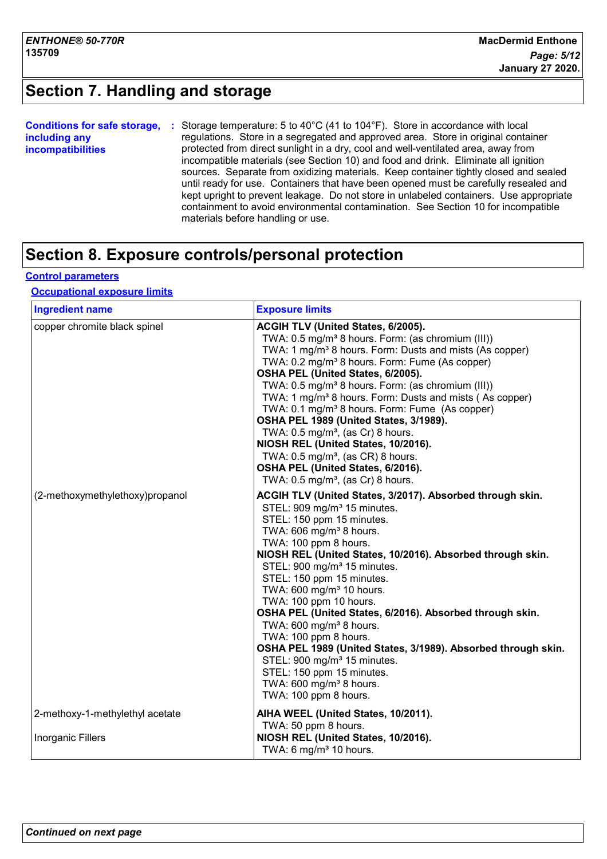## **Section 7. Handling and storage**

| <b>Conditions for safe storage,</b> | Storage temperature: 5 to 40 $^{\circ}$ C (41 to 104 $^{\circ}$ F). Store in accordance with local |
|-------------------------------------|----------------------------------------------------------------------------------------------------|
| including any                       | regulations. Store in a segregated and approved area. Store in original container                  |
| <i>incompatibilities</i>            | protected from direct sunlight in a dry, cool and well-ventilated area, away from                  |
|                                     | incompatible materials (see Section 10) and food and drink. Eliminate all ignition                 |
|                                     | sources. Separate from oxidizing materials. Keep container tightly closed and sealed               |
|                                     | until ready for use. Containers that have been opened must be carefully resealed and               |
|                                     | kept upright to prevent leakage. Do not store in unlabeled containers. Use appropriate             |
|                                     | containment to avoid environmental contamination. See Section 10 for incompatible                  |
|                                     | materials before handling or use.                                                                  |

## **Section 8. Exposure controls/personal protection**

#### **Control parameters**

#### **Occupational exposure limits**

| <b>Ingredient name</b>          | <b>Exposure limits</b>                                                                                                                                                                                                                                                                                                                                                                                                                                                                                                                                                                                                                                                                                                                                      |
|---------------------------------|-------------------------------------------------------------------------------------------------------------------------------------------------------------------------------------------------------------------------------------------------------------------------------------------------------------------------------------------------------------------------------------------------------------------------------------------------------------------------------------------------------------------------------------------------------------------------------------------------------------------------------------------------------------------------------------------------------------------------------------------------------------|
| copper chromite black spinel    | ACGIH TLV (United States, 6/2005).<br>TWA: 0.5 mg/m <sup>3</sup> 8 hours. Form: (as chromium (III))<br>TWA: 1 mg/m <sup>3</sup> 8 hours. Form: Dusts and mists (As copper)<br>TWA: 0.2 mg/m <sup>3</sup> 8 hours. Form: Fume (As copper)<br>OSHA PEL (United States, 6/2005).<br>TWA: 0.5 mg/m <sup>3</sup> 8 hours. Form: (as chromium (III))<br>TWA: 1 mg/m <sup>3</sup> 8 hours. Form: Dusts and mists (As copper)<br>TWA: 0.1 mg/m <sup>3</sup> 8 hours. Form: Fume (As copper)<br>OSHA PEL 1989 (United States, 3/1989).<br>TWA: 0.5 mg/m <sup>3</sup> , (as Cr) 8 hours.<br>NIOSH REL (United States, 10/2016).<br>TWA: $0.5 \text{ mg/m}^3$ , (as CR) 8 hours.<br>OSHA PEL (United States, 6/2016).<br>TWA: 0.5 mg/m <sup>3</sup> , (as Cr) 8 hours. |
| (2-methoxymethylethoxy)propanol | ACGIH TLV (United States, 3/2017). Absorbed through skin.<br>STEL: 909 mg/m <sup>3</sup> 15 minutes.<br>STEL: 150 ppm 15 minutes.<br>TWA: 606 mg/m <sup>3</sup> 8 hours.<br>TWA: 100 ppm 8 hours.<br>NIOSH REL (United States, 10/2016). Absorbed through skin.<br>STEL: 900 mg/m <sup>3</sup> 15 minutes.<br>STEL: 150 ppm 15 minutes.<br>TWA: 600 mg/m <sup>3</sup> 10 hours.<br>TWA: 100 ppm 10 hours.<br>OSHA PEL (United States, 6/2016). Absorbed through skin.<br>TWA: 600 mg/m <sup>3</sup> 8 hours.<br>TWA: 100 ppm 8 hours.<br>OSHA PEL 1989 (United States, 3/1989). Absorbed through skin.<br>STEL: 900 mg/m <sup>3</sup> 15 minutes.<br>STEL: 150 ppm 15 minutes.<br>TWA: 600 mg/m <sup>3</sup> 8 hours.<br>TWA: 100 ppm 8 hours.              |
| 2-methoxy-1-methylethyl acetate | AIHA WEEL (United States, 10/2011).<br>TWA: 50 ppm 8 hours.                                                                                                                                                                                                                                                                                                                                                                                                                                                                                                                                                                                                                                                                                                 |
| <b>Inorganic Fillers</b>        | NIOSH REL (United States, 10/2016).<br>TWA: 6 mg/m <sup>3</sup> 10 hours.                                                                                                                                                                                                                                                                                                                                                                                                                                                                                                                                                                                                                                                                                   |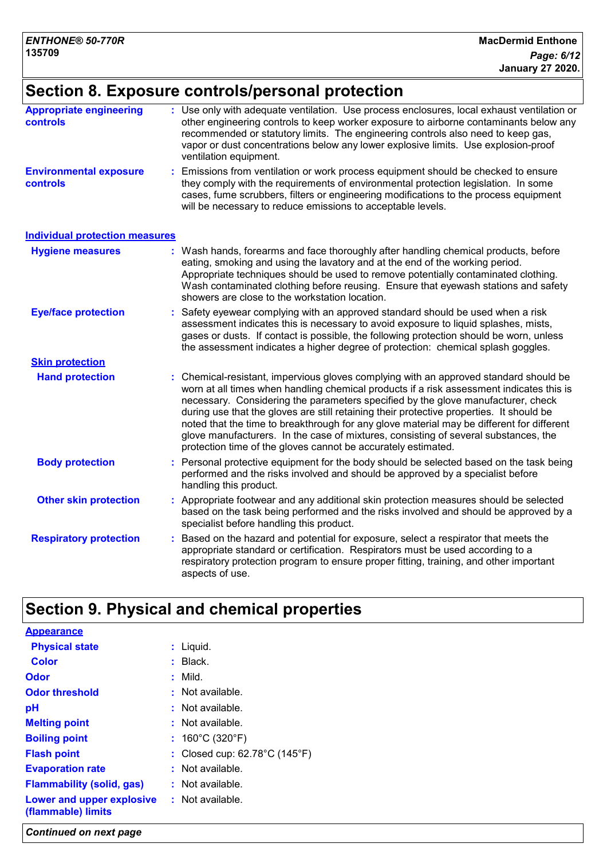## **Section 8. Exposure controls/personal protection**

| <b>Appropriate engineering</b><br><b>controls</b> | : Use only with adequate ventilation. Use process enclosures, local exhaust ventilation or<br>other engineering controls to keep worker exposure to airborne contaminants below any<br>recommended or statutory limits. The engineering controls also need to keep gas,<br>vapor or dust concentrations below any lower explosive limits. Use explosion-proof<br>ventilation equipment.                                                                                                                                                                                                                                |
|---------------------------------------------------|------------------------------------------------------------------------------------------------------------------------------------------------------------------------------------------------------------------------------------------------------------------------------------------------------------------------------------------------------------------------------------------------------------------------------------------------------------------------------------------------------------------------------------------------------------------------------------------------------------------------|
| <b>Environmental exposure</b><br>controls         | Emissions from ventilation or work process equipment should be checked to ensure<br>they comply with the requirements of environmental protection legislation. In some<br>cases, fume scrubbers, filters or engineering modifications to the process equipment<br>will be necessary to reduce emissions to acceptable levels.                                                                                                                                                                                                                                                                                          |
| <b>Individual protection measures</b>             |                                                                                                                                                                                                                                                                                                                                                                                                                                                                                                                                                                                                                        |
| <b>Hygiene measures</b>                           | Wash hands, forearms and face thoroughly after handling chemical products, before<br>eating, smoking and using the lavatory and at the end of the working period.<br>Appropriate techniques should be used to remove potentially contaminated clothing.<br>Wash contaminated clothing before reusing. Ensure that eyewash stations and safety<br>showers are close to the workstation location.                                                                                                                                                                                                                        |
| <b>Eye/face protection</b>                        | Safety eyewear complying with an approved standard should be used when a risk<br>assessment indicates this is necessary to avoid exposure to liquid splashes, mists,<br>gases or dusts. If contact is possible, the following protection should be worn, unless<br>the assessment indicates a higher degree of protection: chemical splash goggles.                                                                                                                                                                                                                                                                    |
| <b>Skin protection</b>                            |                                                                                                                                                                                                                                                                                                                                                                                                                                                                                                                                                                                                                        |
| <b>Hand protection</b>                            | : Chemical-resistant, impervious gloves complying with an approved standard should be<br>worn at all times when handling chemical products if a risk assessment indicates this is<br>necessary. Considering the parameters specified by the glove manufacturer, check<br>during use that the gloves are still retaining their protective properties. It should be<br>noted that the time to breakthrough for any glove material may be different for different<br>glove manufacturers. In the case of mixtures, consisting of several substances, the<br>protection time of the gloves cannot be accurately estimated. |
| <b>Body protection</b>                            | Personal protective equipment for the body should be selected based on the task being<br>performed and the risks involved and should be approved by a specialist before<br>handling this product.                                                                                                                                                                                                                                                                                                                                                                                                                      |
| <b>Other skin protection</b>                      | Appropriate footwear and any additional skin protection measures should be selected<br>based on the task being performed and the risks involved and should be approved by a<br>specialist before handling this product.                                                                                                                                                                                                                                                                                                                                                                                                |
| <b>Respiratory protection</b>                     | Based on the hazard and potential for exposure, select a respirator that meets the<br>appropriate standard or certification. Respirators must be used according to a<br>respiratory protection program to ensure proper fitting, training, and other important<br>aspects of use.                                                                                                                                                                                                                                                                                                                                      |

# **Section 9. Physical and chemical properties**

| <b>Appearance</b>                               |                                                    |
|-------------------------------------------------|----------------------------------------------------|
| <b>Physical state</b>                           | $:$ Liquid.                                        |
| <b>Color</b>                                    | $:$ Black.                                         |
| Odor                                            | $:$ Mild.                                          |
| <b>Odor threshold</b>                           | $:$ Not available.                                 |
| рH                                              | : Not available.                                   |
| <b>Melting point</b>                            | $:$ Not available.                                 |
| <b>Boiling point</b>                            | : $160^{\circ}$ C (320 $^{\circ}$ F)               |
| <b>Flash point</b>                              | : Closed cup: $62.78^{\circ}$ C (145 $^{\circ}$ F) |
| <b>Evaporation rate</b>                         | : Not available.                                   |
| <b>Flammability (solid, gas)</b>                | $:$ Not available.                                 |
| Lower and upper explosive<br>(flammable) limits | : Not available.                                   |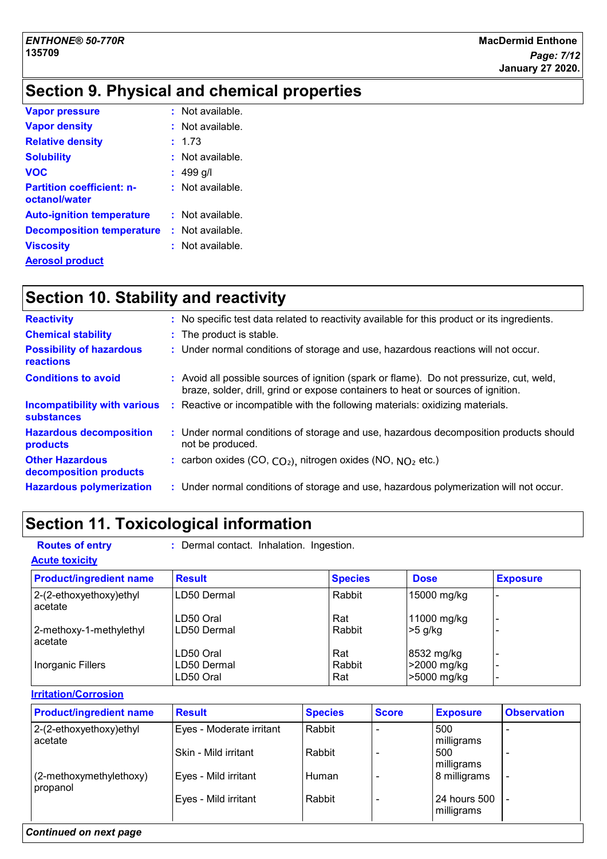## **Section 9. Physical and chemical properties**

| <b>Vapor pressure</b>                             | $:$ Not available.          |
|---------------------------------------------------|-----------------------------|
| <b>Vapor density</b>                              | $:$ Not available.          |
| <b>Relative density</b>                           | : 1.73                      |
| <b>Solubility</b>                                 | : Not available.            |
| <b>VOC</b>                                        | : 499 g/l                   |
| <b>Partition coefficient: n-</b><br>octanol/water | $:$ Not available.          |
| <b>Auto-ignition temperature</b>                  | : Not available.            |
| <b>Decomposition temperature</b>                  | $\therefore$ Not available. |
| <b>Viscosity</b>                                  | $:$ Not available.          |
| <b>Aerosol product</b>                            |                             |

## **Section 10. Stability and reactivity**

| <b>Reactivity</b>                                        | : No specific test data related to reactivity available for this product or its ingredients.                                                                                 |
|----------------------------------------------------------|------------------------------------------------------------------------------------------------------------------------------------------------------------------------------|
| <b>Chemical stability</b>                                | : The product is stable.                                                                                                                                                     |
| <b>Possibility of hazardous</b><br><b>reactions</b>      | : Under normal conditions of storage and use, hazardous reactions will not occur.                                                                                            |
| <b>Conditions to avoid</b>                               | : Avoid all possible sources of ignition (spark or flame). Do not pressurize, cut, weld,<br>braze, solder, drill, grind or expose containers to heat or sources of ignition. |
| <b>Incompatibility with various</b><br><b>substances</b> | : Reactive or incompatible with the following materials: oxidizing materials.                                                                                                |
| <b>Hazardous decomposition</b><br>products               | : Under normal conditions of storage and use, hazardous decomposition products should<br>not be produced.                                                                    |
| <b>Other Hazardous</b><br>decomposition products         | : carbon oxides (CO, $CO2$ ), nitrogen oxides (NO, $NO2$ etc.)                                                                                                               |
| <b>Hazardous polymerization</b>                          | : Under normal conditions of storage and use, hazardous polymerization will not occur.                                                                                       |

# **Section 11. Toxicological information**

- 
- **Routes of entry :** Dermal contact. Inhalation. Ingestion.

#### **Acute toxicity**

| <b>Product/ingredient name</b>       | <b>Result</b> | <b>Species</b> | <b>Dose</b> | <b>Exposure</b> |
|--------------------------------------|---------------|----------------|-------------|-----------------|
| 2-(2-ethoxyethoxy)ethyl<br>acetate   | LD50 Dermal   | Rabbit         | 15000 mg/kg |                 |
|                                      | LD50 Oral     | Rat            | 11000 mg/kg |                 |
| 2-methoxy-1-methylethyl<br>l acetate | LD50 Dermal   | Rabbit         | $>5$ g/kg   |                 |
|                                      | LD50 Oral     | Rat            | 8532 mg/kg  |                 |
| Inorganic Fillers                    | LD50 Dermal   | Rabbit         | >2000 mg/kg |                 |
|                                      | LD50 Oral     | Rat            | >5000 mg/kg |                 |

**Irritation/Corrosion**

| <b>Product/ingredient name</b>      | <b>Result</b>            | <b>Species</b> | <b>Score</b> | <b>Exposure</b>            | <b>Observation</b> |
|-------------------------------------|--------------------------|----------------|--------------|----------------------------|--------------------|
| 2-(2-ethoxyethoxy)ethyl<br>acetate  | Eyes - Moderate irritant | Rabbit         |              | 500<br>milligrams          |                    |
|                                     | Skin - Mild irritant     | Rabbit         |              | 500<br>milligrams          |                    |
| (2-methoxymethylethoxy)<br>propanol | Eyes - Mild irritant     | Human          |              | 8 milligrams               |                    |
|                                     | Eyes - Mild irritant     | Rabbit         |              | 24 hours 500<br>milligrams |                    |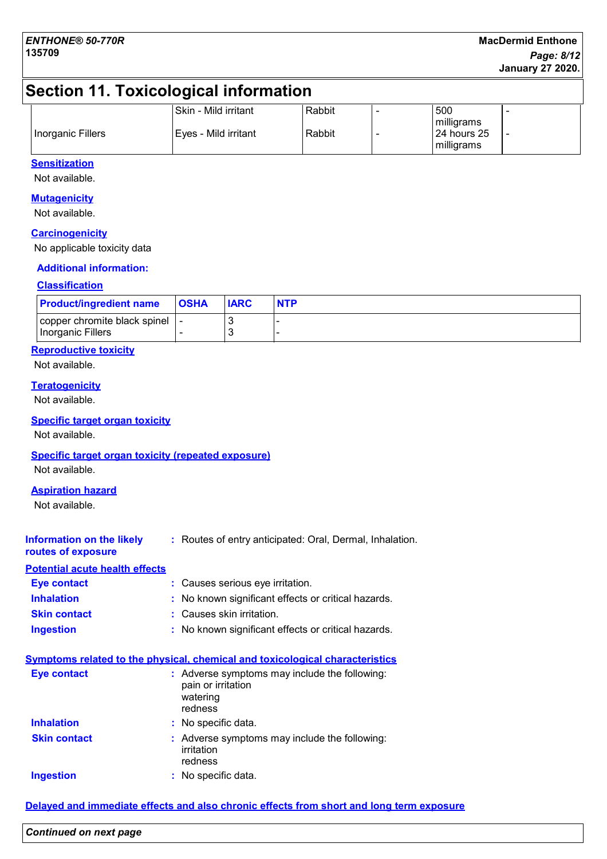## **Section 11. Toxicological information**

|                   | Skin - Mild irritant | Rabbit | 500                                      |  |
|-------------------|----------------------|--------|------------------------------------------|--|
| Inorganic Fillers | Eyes - Mild irritant | Rabbit | milligrams<br>124 hours 25<br>milligrams |  |

#### **Sensitization**

Not available.

#### **Mutagenicity**

Not available.

#### **Carcinogenicity**

No applicable toxicity data

#### **Additional information:**

#### **Classification**

| <b>Product/ingredient name</b>                        | <b>OSHA</b> | <b>IARC</b> | <b>NTP</b> |
|-------------------------------------------------------|-------------|-------------|------------|
| copper chromite black spinel   -<br>Inorganic Fillers | -           |             |            |

#### **Reproductive toxicity**

Not available.

#### **Teratogenicity**

Not available.

#### **Specific target organ toxicity**

Not available.

#### **Specific target organ toxicity (repeated exposure)**

Not available.

#### **Aspiration hazard**

Not available.

| Information on the likely | : Routes of entry anticipated: Oral, Dermal, Inhalation. |
|---------------------------|----------------------------------------------------------|
| routes of exposure        |                                                          |

#### **Potential acute health effects**

| Eye contact         | : Causes serious eye irritation.                    |
|---------------------|-----------------------------------------------------|
| <b>Inhalation</b>   | : No known significant effects or critical hazards. |
| <b>Skin contact</b> | : Causes skin irritation.                           |
| <b>Ingestion</b>    | : No known significant effects or critical hazards. |

|                     | <b>Symptoms related to the physical, chemical and toxicological characteristics</b>        |
|---------------------|--------------------------------------------------------------------------------------------|
| <b>Eye contact</b>  | : Adverse symptoms may include the following:<br>pain or irritation<br>watering<br>redness |
| <b>Inhalation</b>   | : No specific data.                                                                        |
| <b>Skin contact</b> | : Adverse symptoms may include the following:<br>irritation<br>redness                     |
| <b>Ingestion</b>    | : No specific data.                                                                        |

#### **Delayed and immediate effects and also chronic effects from short and long term exposure**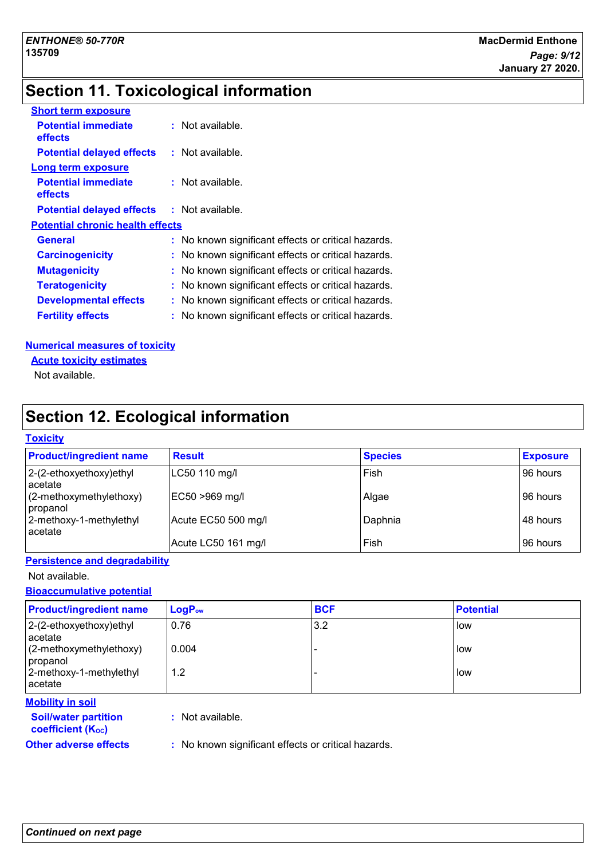## **Section 11. Toxicological information**

| <b>Short term exposure</b>              |                                                     |  |
|-----------------------------------------|-----------------------------------------------------|--|
| <b>Potential immediate</b><br>effects   | $:$ Not available.                                  |  |
| <b>Potential delayed effects</b>        | : Not available.                                    |  |
| <b>Long term exposure</b>               |                                                     |  |
| <b>Potential immediate</b><br>effects   | $:$ Not available.                                  |  |
| <b>Potential delayed effects</b>        | : Not available.                                    |  |
| <b>Potential chronic health effects</b> |                                                     |  |
| <b>General</b>                          | : No known significant effects or critical hazards. |  |
| <b>Carcinogenicity</b>                  | : No known significant effects or critical hazards. |  |
| <b>Mutagenicity</b>                     | No known significant effects or critical hazards.   |  |
| <b>Teratogenicity</b>                   | No known significant effects or critical hazards.   |  |
| <b>Developmental effects</b>            | No known significant effects or critical hazards.   |  |
| <b>Fertility effects</b>                | No known significant effects or critical hazards.   |  |
|                                         |                                                     |  |

#### **Numerical measures of toxicity**

#### **Acute toxicity estimates**

Not available.

## **Section 12. Ecological information**

#### **Toxicity**

| <b>Product/ingredient name</b>         | <b>Result</b>       | <b>Species</b> | <b>Exposure</b> |
|----------------------------------------|---------------------|----------------|-----------------|
| $ 2-(2-ethoxyethoxy)ethyl$<br>lacetate | LC50 110 mg/l       | Fish           | 96 hours        |
| $(2-methoxymethylethoxy)$<br>propanol  | EC50 >969 mg/l      | Algae          | 96 hours        |
| 2-methoxy-1-methylethyl<br>lacetate    | Acute EC50 500 mg/l | Daphnia        | 48 hours        |
|                                        | Acute LC50 161 mg/l | Fish           | 96 hours        |

#### **Persistence and degradability**

Not available.

#### **Bioaccumulative potential**

| <b>Product/ingredient name</b>        | $LogP_{ow}$ | <b>BCF</b> | <b>Potential</b> |
|---------------------------------------|-------------|------------|------------------|
| 2-(2-ethoxyethoxy)ethyl<br>acetate    | 0.76        | 3.2        | low              |
| $(2-methoxymethylethoxy)$<br>propanol | 0.004       |            | low              |
| 2-methoxy-1-methylethyl<br>acetate    | 1.2         |            | low              |
| <b>Mobility in soil</b>               |             |            |                  |

#### **Soil/water partition**

**coefficient (KOC)**

**:** Not available.

**Other adverse effects** : No known significant effects or critical hazards.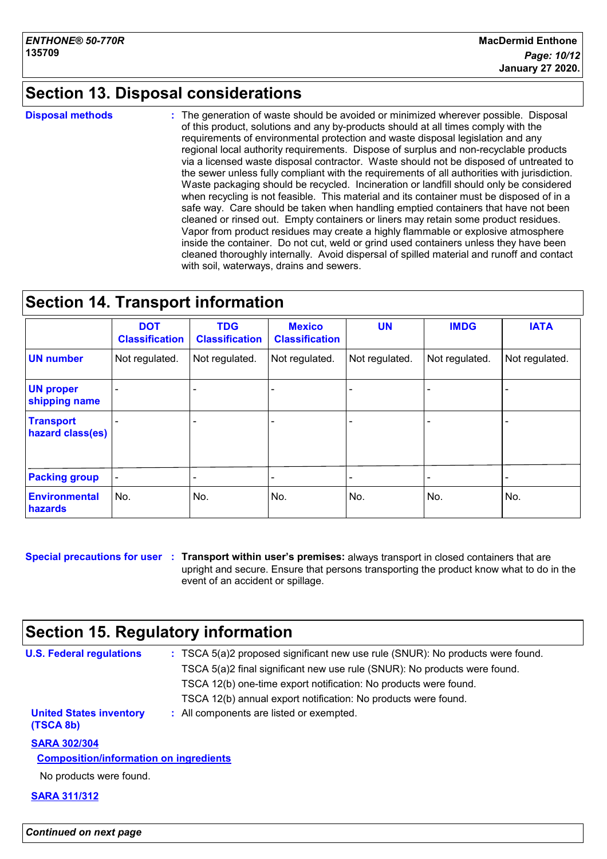## **Section 13. Disposal considerations**

**Disposal methods :**

The generation of waste should be avoided or minimized wherever possible. Disposal of this product, solutions and any by-products should at all times comply with the requirements of environmental protection and waste disposal legislation and any regional local authority requirements. Dispose of surplus and non-recyclable products via a licensed waste disposal contractor. Waste should not be disposed of untreated to the sewer unless fully compliant with the requirements of all authorities with jurisdiction. Waste packaging should be recycled. Incineration or landfill should only be considered when recycling is not feasible. This material and its container must be disposed of in a safe way. Care should be taken when handling emptied containers that have not been cleaned or rinsed out. Empty containers or liners may retain some product residues. Vapor from product residues may create a highly flammable or explosive atmosphere inside the container. Do not cut, weld or grind used containers unless they have been cleaned thoroughly internally. Avoid dispersal of spilled material and runoff and contact with soil, waterways, drains and sewers.

## **Section 14. Transport information**

|                                      | <b>DOT</b><br><b>Classification</b> | <b>TDG</b><br><b>Classification</b> | <b>Mexico</b><br><b>Classification</b> | <b>UN</b>      | <b>IMDG</b>    | <b>IATA</b>    |
|--------------------------------------|-------------------------------------|-------------------------------------|----------------------------------------|----------------|----------------|----------------|
| <b>UN number</b>                     | Not regulated.                      | Not regulated.                      | Not regulated.                         | Not regulated. | Not regulated. | Not regulated. |
| <b>UN proper</b><br>shipping name    |                                     |                                     |                                        |                |                |                |
| <b>Transport</b><br>hazard class(es) |                                     |                                     |                                        |                |                |                |
| <b>Packing group</b>                 |                                     |                                     |                                        |                |                |                |
| Environmental<br>hazards             | No.                                 | No.                                 | No.                                    | No.            | No.            | No.            |

**Special precautions for user Transport within user's premises:** always transport in closed containers that are **:** upright and secure. Ensure that persons transporting the product know what to do in the event of an accident or spillage.

## **Section 15. Regulatory information**

| <b>U.S. Federal regulations</b>               | : TSCA 5(a)2 proposed significant new use rule (SNUR): No products were found.<br>TSCA 5(a)2 final significant new use rule (SNUR): No products were found.<br>TSCA 12(b) one-time export notification: No products were found.<br>TSCA 12(b) annual export notification: No products were found. |
|-----------------------------------------------|---------------------------------------------------------------------------------------------------------------------------------------------------------------------------------------------------------------------------------------------------------------------------------------------------|
| <b>United States inventory</b>                | : All components are listed or exempted.                                                                                                                                                                                                                                                          |
| (TSCA 8b)                                     |                                                                                                                                                                                                                                                                                                   |
| <b>SARA 302/304</b>                           |                                                                                                                                                                                                                                                                                                   |
| <b>Composition/information on ingredients</b> |                                                                                                                                                                                                                                                                                                   |
| No products were found.                       |                                                                                                                                                                                                                                                                                                   |
| <b>SARA 311/312</b>                           |                                                                                                                                                                                                                                                                                                   |
|                                               |                                                                                                                                                                                                                                                                                                   |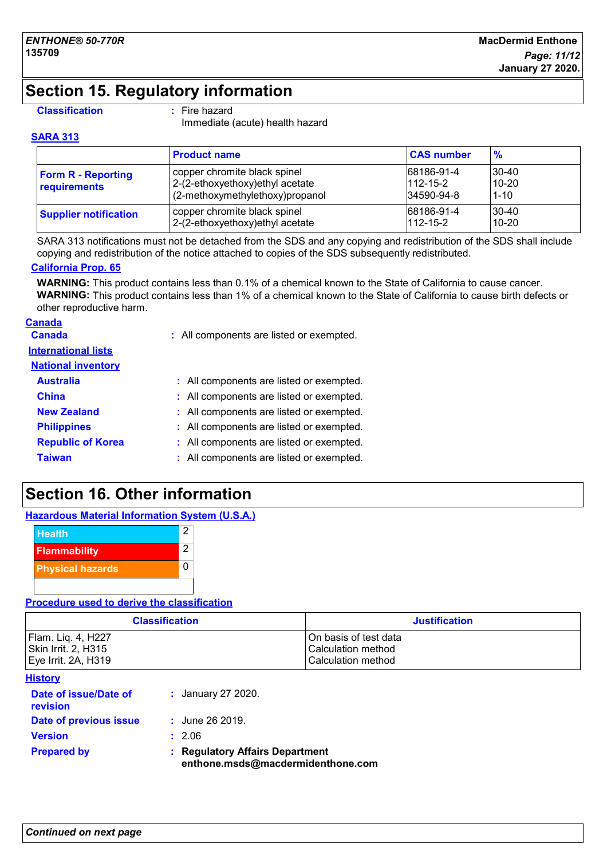## **Section 15. Regulatory information**

#### **Classification :** Fire hazard

Immediate (acute) health hazard

#### **SARA 313**

|                                           | <b>Product name</b>                                                                                 | <b>CAS number</b>                          | $\frac{9}{6}$                        |
|-------------------------------------------|-----------------------------------------------------------------------------------------------------|--------------------------------------------|--------------------------------------|
| <b>Form R - Reporting</b><br>requirements | copper chromite black spinel<br>2-(2-ethoxyethoxy) ethyl acetate<br>(2-methoxymethylethoxy)propanol | 68186-91-4<br>$112 - 15 - 2$<br>34590-94-8 | $ 30-40\rangle$<br>10-20<br>$1 - 10$ |
| <b>Supplier notification</b>              | copper chromite black spinel<br>2-(2-ethoxyethoxy)ethyl acetate                                     | 68186-91-4<br>$112 - 15 - 2$               | 30-40<br>$10-20$                     |

SARA 313 notifications must not be detached from the SDS and any copying and redistribution of the SDS shall include copying and redistribution of the notice attached to copies of the SDS subsequently redistributed.

#### **California Prop. 65**

**WARNING:** This product contains less than 0.1% of a chemical known to the State of California to cause cancer. **WARNING:** This product contains less than 1% of a chemical known to the State of California to cause birth defects or other reproductive harm.

# **Canada**

**Canada :** All components are listed or exempted.

#### **International lists**

| <b>National inventory</b> |                                          |
|---------------------------|------------------------------------------|
| <b>Australia</b>          | : All components are listed or exempted. |
| <b>China</b>              | : All components are listed or exempted. |
| <b>New Zealand</b>        | : All components are listed or exempted. |
| <b>Philippines</b>        | : All components are listed or exempted. |
| <b>Republic of Korea</b>  | : All components are listed or exempted. |
| <b>Taiwan</b>             | : All components are listed or exempted. |

 $\overline{0}$ 

## **Section 16. Other information**

|               |  | <b>Hazardous Material Information System (U.S.A.)</b> |
|---------------|--|-------------------------------------------------------|
| <b>Health</b> |  |                                                       |



**Procedure used to derive the classification**

| <b>Classification</b> | <b>Justification</b>  |  |
|-----------------------|-----------------------|--|
| Flam. Lig. 4, H227    | On basis of test data |  |
| Skin Irrit. 2, H315   | Calculation method    |  |
| Eye Irrit. 2A, H319   | Calculation method    |  |

|--|

|                                          | enthone.msds@macdermidenthone.com    |  |
|------------------------------------------|--------------------------------------|--|
| <b>Prepared by</b>                       | <b>Regulatory Affairs Department</b> |  |
| <b>Version</b>                           | : 2.06                               |  |
| Date of previous issue                   | $:$ June 26 2019.                    |  |
| Date of issue/Date of<br><b>revision</b> | : January 27 2020.                   |  |
| I IIƏLVI V                               |                                      |  |